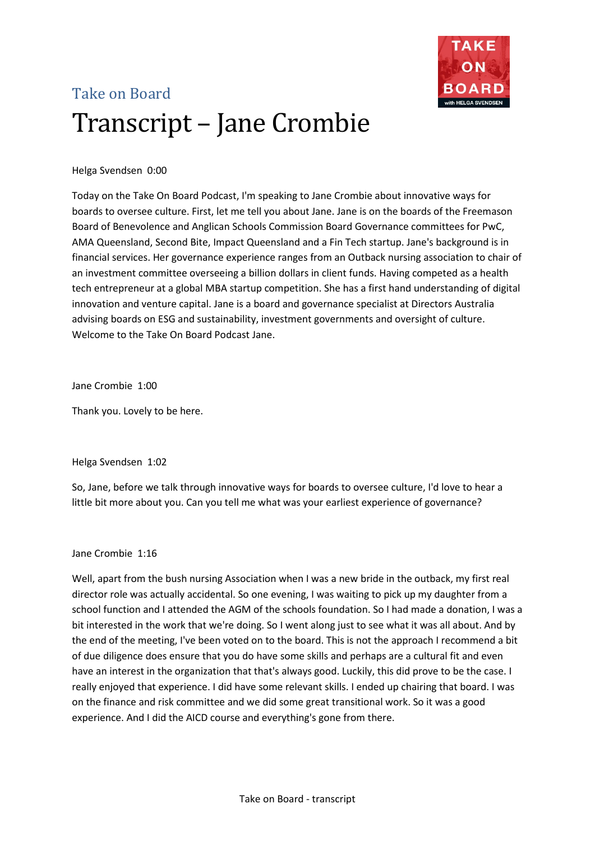

# Take on Board Transcript – Jane Crombie

# Helga Svendsen 0:00

Today on the Take On Board Podcast, I'm speaking to Jane Crombie about innovative ways for boards to oversee culture. First, let me tell you about Jane. Jane is on the boards of the Freemason Board of Benevolence and Anglican Schools Commission Board Governance committees for PwC, AMA Queensland, Second Bite, Impact Queensland and a Fin Tech startup. Jane's background is in financial services. Her governance experience ranges from an Outback nursing association to chair of an investment committee overseeing a billion dollars in client funds. Having competed as a health tech entrepreneur at a global MBA startup competition. She has a first hand understanding of digital innovation and venture capital. Jane is a board and governance specialist at Directors Australia advising boards on ESG and sustainability, investment governments and oversight of culture. Welcome to the Take On Board Podcast Jane.

Jane Crombie 1:00

Thank you. Lovely to be here.

Helga Svendsen 1:02

So, Jane, before we talk through innovative ways for boards to oversee culture, I'd love to hear a little bit more about you. Can you tell me what was your earliest experience of governance?

# Jane Crombie 1:16

Well, apart from the bush nursing Association when I was a new bride in the outback, my first real director role was actually accidental. So one evening, I was waiting to pick up my daughter from a school function and I attended the AGM of the schools foundation. So I had made a donation, I was a bit interested in the work that we're doing. So I went along just to see what it was all about. And by the end of the meeting, I've been voted on to the board. This is not the approach I recommend a bit of due diligence does ensure that you do have some skills and perhaps are a cultural fit and even have an interest in the organization that that's always good. Luckily, this did prove to be the case. I really enjoyed that experience. I did have some relevant skills. I ended up chairing that board. I was on the finance and risk committee and we did some great transitional work. So it was a good experience. And I did the AICD course and everything's gone from there.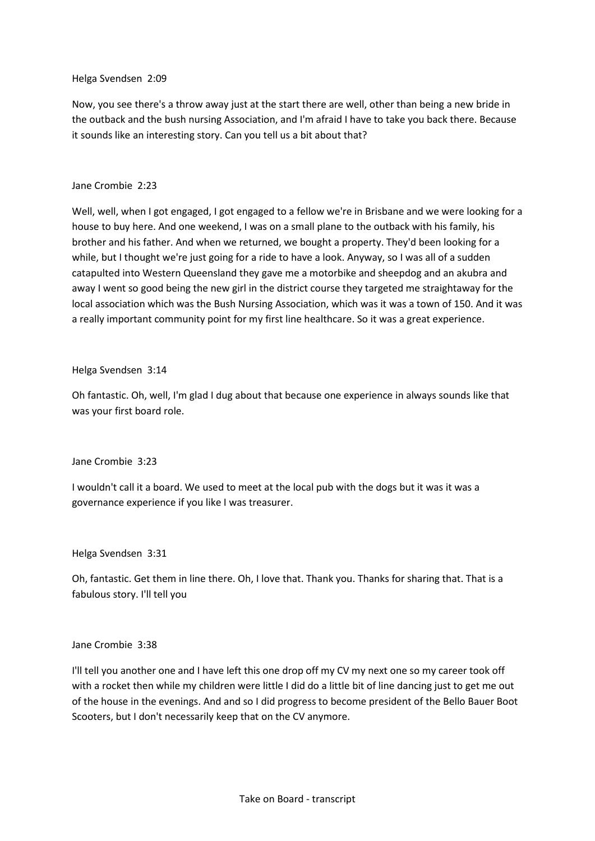#### Helga Svendsen 2:09

Now, you see there's a throw away just at the start there are well, other than being a new bride in the outback and the bush nursing Association, and I'm afraid I have to take you back there. Because it sounds like an interesting story. Can you tell us a bit about that?

# Jane Crombie 2:23

Well, well, when I got engaged, I got engaged to a fellow we're in Brisbane and we were looking for a house to buy here. And one weekend, I was on a small plane to the outback with his family, his brother and his father. And when we returned, we bought a property. They'd been looking for a while, but I thought we're just going for a ride to have a look. Anyway, so I was all of a sudden catapulted into Western Queensland they gave me a motorbike and sheepdog and an akubra and away I went so good being the new girl in the district course they targeted me straightaway for the local association which was the Bush Nursing Association, which was it was a town of 150. And it was a really important community point for my first line healthcare. So it was a great experience.

#### Helga Svendsen 3:14

Oh fantastic. Oh, well, I'm glad I dug about that because one experience in always sounds like that was your first board role.

# Jane Crombie 3:23

I wouldn't call it a board. We used to meet at the local pub with the dogs but it was it was a governance experience if you like I was treasurer.

#### Helga Svendsen 3:31

Oh, fantastic. Get them in line there. Oh, I love that. Thank you. Thanks for sharing that. That is a fabulous story. I'll tell you

# Jane Crombie 3:38

I'll tell you another one and I have left this one drop off my CV my next one so my career took off with a rocket then while my children were little I did do a little bit of line dancing just to get me out of the house in the evenings. And and so I did progress to become president of the Bello Bauer Boot Scooters, but I don't necessarily keep that on the CV anymore.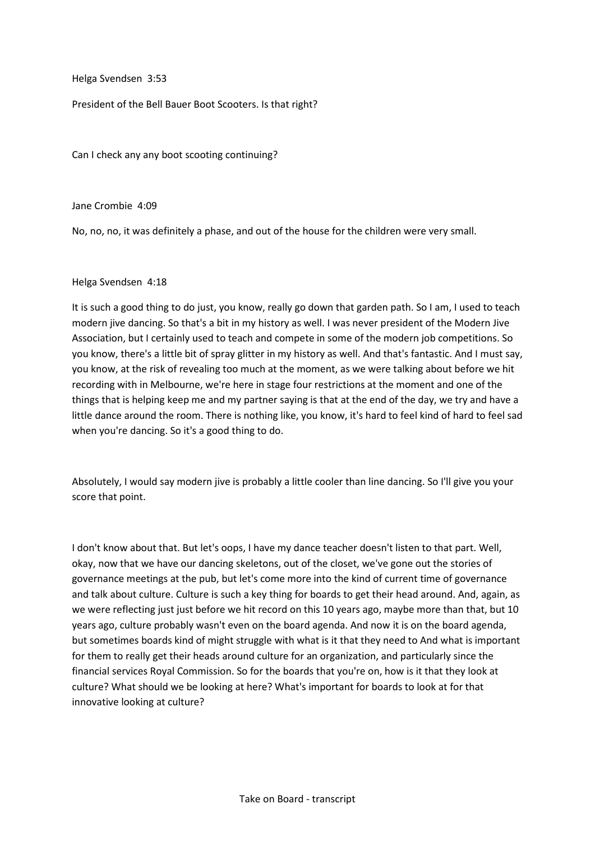Helga Svendsen 3:53

President of the Bell Bauer Boot Scooters. Is that right?

Can I check any any boot scooting continuing?

Jane Crombie 4:09

No, no, no, it was definitely a phase, and out of the house for the children were very small.

#### Helga Svendsen 4:18

It is such a good thing to do just, you know, really go down that garden path. So I am, I used to teach modern jive dancing. So that's a bit in my history as well. I was never president of the Modern Jive Association, but I certainly used to teach and compete in some of the modern job competitions. So you know, there's a little bit of spray glitter in my history as well. And that's fantastic. And I must say, you know, at the risk of revealing too much at the moment, as we were talking about before we hit recording with in Melbourne, we're here in stage four restrictions at the moment and one of the things that is helping keep me and my partner saying is that at the end of the day, we try and have a little dance around the room. There is nothing like, you know, it's hard to feel kind of hard to feel sad when you're dancing. So it's a good thing to do.

Absolutely, I would say modern jive is probably a little cooler than line dancing. So I'll give you your score that point.

I don't know about that. But let's oops, I have my dance teacher doesn't listen to that part. Well, okay, now that we have our dancing skeletons, out of the closet, we've gone out the stories of governance meetings at the pub, but let's come more into the kind of current time of governance and talk about culture. Culture is such a key thing for boards to get their head around. And, again, as we were reflecting just just before we hit record on this 10 years ago, maybe more than that, but 10 years ago, culture probably wasn't even on the board agenda. And now it is on the board agenda, but sometimes boards kind of might struggle with what is it that they need to And what is important for them to really get their heads around culture for an organization, and particularly since the financial services Royal Commission. So for the boards that you're on, how is it that they look at culture? What should we be looking at here? What's important for boards to look at for that innovative looking at culture?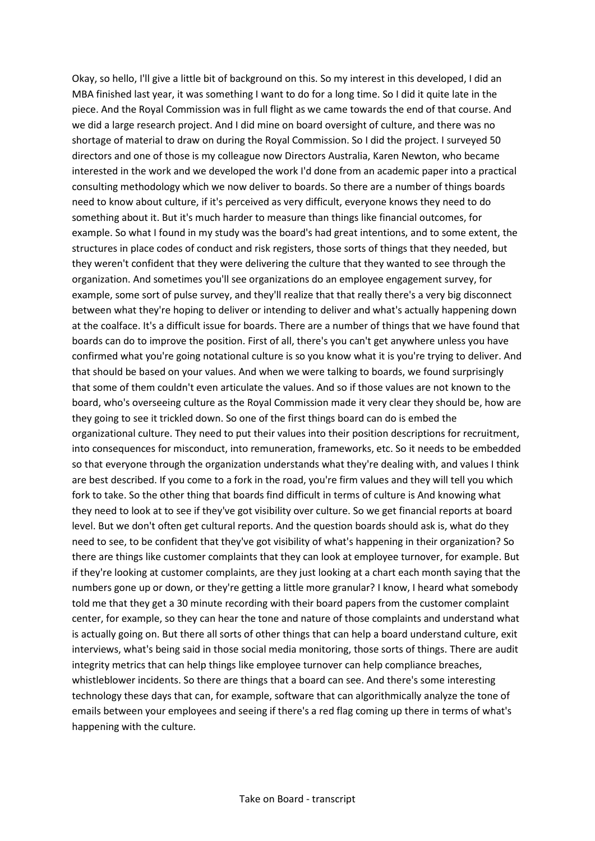Okay, so hello, I'll give a little bit of background on this. So my interest in this developed, I did an MBA finished last year, it was something I want to do for a long time. So I did it quite late in the piece. And the Royal Commission was in full flight as we came towards the end of that course. And we did a large research project. And I did mine on board oversight of culture, and there was no shortage of material to draw on during the Royal Commission. So I did the project. I surveyed 50 directors and one of those is my colleague now Directors Australia, Karen Newton, who became interested in the work and we developed the work I'd done from an academic paper into a practical consulting methodology which we now deliver to boards. So there are a number of things boards need to know about culture, if it's perceived as very difficult, everyone knows they need to do something about it. But it's much harder to measure than things like financial outcomes, for example. So what I found in my study was the board's had great intentions, and to some extent, the structures in place codes of conduct and risk registers, those sorts of things that they needed, but they weren't confident that they were delivering the culture that they wanted to see through the organization. And sometimes you'll see organizations do an employee engagement survey, for example, some sort of pulse survey, and they'll realize that that really there's a very big disconnect between what they're hoping to deliver or intending to deliver and what's actually happening down at the coalface. It's a difficult issue for boards. There are a number of things that we have found that boards can do to improve the position. First of all, there's you can't get anywhere unless you have confirmed what you're going notational culture is so you know what it is you're trying to deliver. And that should be based on your values. And when we were talking to boards, we found surprisingly that some of them couldn't even articulate the values. And so if those values are not known to the board, who's overseeing culture as the Royal Commission made it very clear they should be, how are they going to see it trickled down. So one of the first things board can do is embed the organizational culture. They need to put their values into their position descriptions for recruitment, into consequences for misconduct, into remuneration, frameworks, etc. So it needs to be embedded so that everyone through the organization understands what they're dealing with, and values I think are best described. If you come to a fork in the road, you're firm values and they will tell you which fork to take. So the other thing that boards find difficult in terms of culture is And knowing what they need to look at to see if they've got visibility over culture. So we get financial reports at board level. But we don't often get cultural reports. And the question boards should ask is, what do they need to see, to be confident that they've got visibility of what's happening in their organization? So there are things like customer complaints that they can look at employee turnover, for example. But if they're looking at customer complaints, are they just looking at a chart each month saying that the numbers gone up or down, or they're getting a little more granular? I know, I heard what somebody told me that they get a 30 minute recording with their board papers from the customer complaint center, for example, so they can hear the tone and nature of those complaints and understand what is actually going on. But there all sorts of other things that can help a board understand culture, exit interviews, what's being said in those social media monitoring, those sorts of things. There are audit integrity metrics that can help things like employee turnover can help compliance breaches, whistleblower incidents. So there are things that a board can see. And there's some interesting technology these days that can, for example, software that can algorithmically analyze the tone of emails between your employees and seeing if there's a red flag coming up there in terms of what's happening with the culture.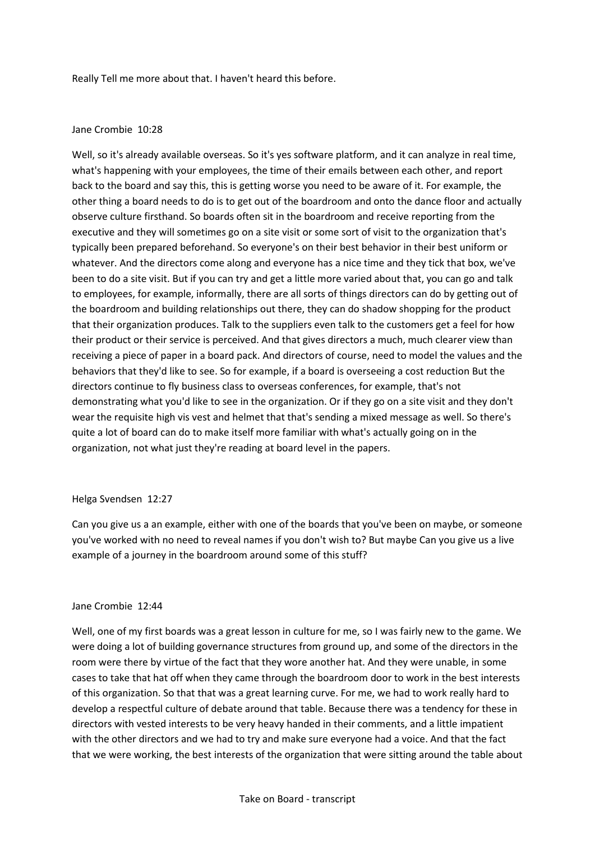Really Tell me more about that. I haven't heard this before.

#### Jane Crombie 10:28

Well, so it's already available overseas. So it's yes software platform, and it can analyze in real time, what's happening with your employees, the time of their emails between each other, and report back to the board and say this, this is getting worse you need to be aware of it. For example, the other thing a board needs to do is to get out of the boardroom and onto the dance floor and actually observe culture firsthand. So boards often sit in the boardroom and receive reporting from the executive and they will sometimes go on a site visit or some sort of visit to the organization that's typically been prepared beforehand. So everyone's on their best behavior in their best uniform or whatever. And the directors come along and everyone has a nice time and they tick that box, we've been to do a site visit. But if you can try and get a little more varied about that, you can go and talk to employees, for example, informally, there are all sorts of things directors can do by getting out of the boardroom and building relationships out there, they can do shadow shopping for the product that their organization produces. Talk to the suppliers even talk to the customers get a feel for how their product or their service is perceived. And that gives directors a much, much clearer view than receiving a piece of paper in a board pack. And directors of course, need to model the values and the behaviors that they'd like to see. So for example, if a board is overseeing a cost reduction But the directors continue to fly business class to overseas conferences, for example, that's not demonstrating what you'd like to see in the organization. Or if they go on a site visit and they don't wear the requisite high vis vest and helmet that that's sending a mixed message as well. So there's quite a lot of board can do to make itself more familiar with what's actually going on in the organization, not what just they're reading at board level in the papers.

#### Helga Svendsen 12:27

Can you give us a an example, either with one of the boards that you've been on maybe, or someone you've worked with no need to reveal names if you don't wish to? But maybe Can you give us a live example of a journey in the boardroom around some of this stuff?

#### Jane Crombie 12:44

Well, one of my first boards was a great lesson in culture for me, so I was fairly new to the game. We were doing a lot of building governance structures from ground up, and some of the directors in the room were there by virtue of the fact that they wore another hat. And they were unable, in some cases to take that hat off when they came through the boardroom door to work in the best interests of this organization. So that that was a great learning curve. For me, we had to work really hard to develop a respectful culture of debate around that table. Because there was a tendency for these in directors with vested interests to be very heavy handed in their comments, and a little impatient with the other directors and we had to try and make sure everyone had a voice. And that the fact that we were working, the best interests of the organization that were sitting around the table about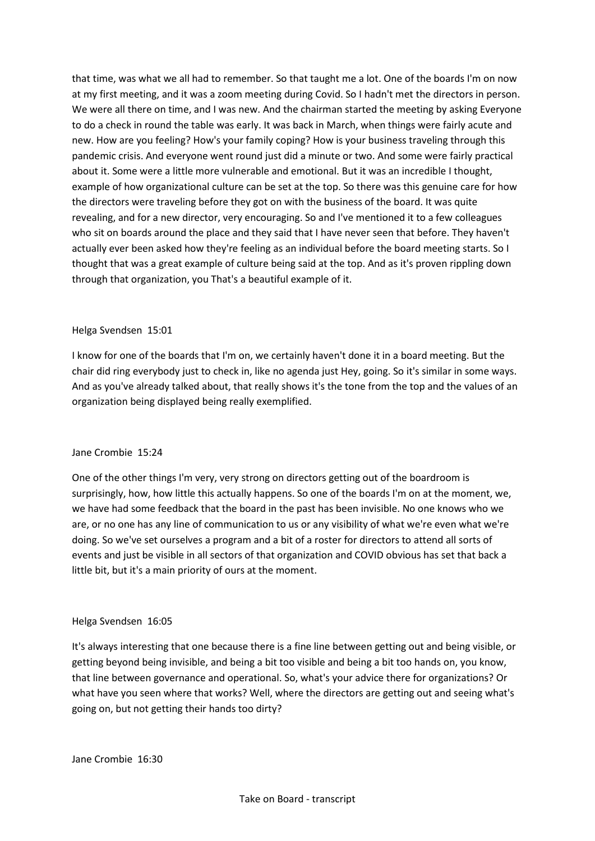that time, was what we all had to remember. So that taught me a lot. One of the boards I'm on now at my first meeting, and it was a zoom meeting during Covid. So I hadn't met the directors in person. We were all there on time, and I was new. And the chairman started the meeting by asking Everyone to do a check in round the table was early. It was back in March, when things were fairly acute and new. How are you feeling? How's your family coping? How is your business traveling through this pandemic crisis. And everyone went round just did a minute or two. And some were fairly practical about it. Some were a little more vulnerable and emotional. But it was an incredible I thought, example of how organizational culture can be set at the top. So there was this genuine care for how the directors were traveling before they got on with the business of the board. It was quite revealing, and for a new director, very encouraging. So and I've mentioned it to a few colleagues who sit on boards around the place and they said that I have never seen that before. They haven't actually ever been asked how they're feeling as an individual before the board meeting starts. So I thought that was a great example of culture being said at the top. And as it's proven rippling down through that organization, you That's a beautiful example of it.

#### Helga Svendsen 15:01

I know for one of the boards that I'm on, we certainly haven't done it in a board meeting. But the chair did ring everybody just to check in, like no agenda just Hey, going. So it's similar in some ways. And as you've already talked about, that really shows it's the tone from the top and the values of an organization being displayed being really exemplified.

#### Jane Crombie 15:24

One of the other things I'm very, very strong on directors getting out of the boardroom is surprisingly, how, how little this actually happens. So one of the boards I'm on at the moment, we, we have had some feedback that the board in the past has been invisible. No one knows who we are, or no one has any line of communication to us or any visibility of what we're even what we're doing. So we've set ourselves a program and a bit of a roster for directors to attend all sorts of events and just be visible in all sectors of that organization and COVID obvious has set that back a little bit, but it's a main priority of ours at the moment.

#### Helga Svendsen 16:05

It's always interesting that one because there is a fine line between getting out and being visible, or getting beyond being invisible, and being a bit too visible and being a bit too hands on, you know, that line between governance and operational. So, what's your advice there for organizations? Or what have you seen where that works? Well, where the directors are getting out and seeing what's going on, but not getting their hands too dirty?

Jane Crombie 16:30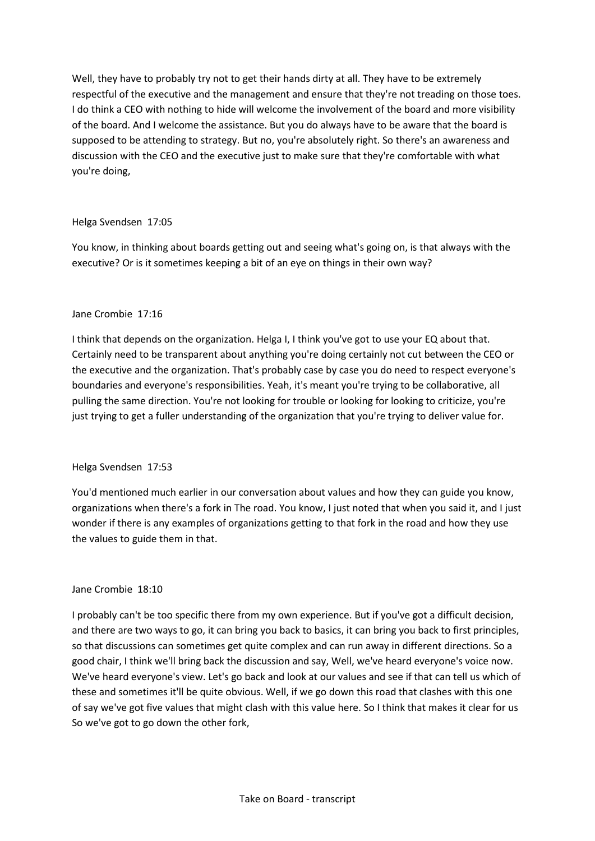Well, they have to probably try not to get their hands dirty at all. They have to be extremely respectful of the executive and the management and ensure that they're not treading on those toes. I do think a CEO with nothing to hide will welcome the involvement of the board and more visibility of the board. And I welcome the assistance. But you do always have to be aware that the board is supposed to be attending to strategy. But no, you're absolutely right. So there's an awareness and discussion with the CEO and the executive just to make sure that they're comfortable with what you're doing,

# Helga Svendsen 17:05

You know, in thinking about boards getting out and seeing what's going on, is that always with the executive? Or is it sometimes keeping a bit of an eye on things in their own way?

# Jane Crombie 17:16

I think that depends on the organization. Helga I, I think you've got to use your EQ about that. Certainly need to be transparent about anything you're doing certainly not cut between the CEO or the executive and the organization. That's probably case by case you do need to respect everyone's boundaries and everyone's responsibilities. Yeah, it's meant you're trying to be collaborative, all pulling the same direction. You're not looking for trouble or looking for looking to criticize, you're just trying to get a fuller understanding of the organization that you're trying to deliver value for.

# Helga Svendsen 17:53

You'd mentioned much earlier in our conversation about values and how they can guide you know, organizations when there's a fork in The road. You know, I just noted that when you said it, and I just wonder if there is any examples of organizations getting to that fork in the road and how they use the values to guide them in that.

# Jane Crombie 18:10

I probably can't be too specific there from my own experience. But if you've got a difficult decision, and there are two ways to go, it can bring you back to basics, it can bring you back to first principles, so that discussions can sometimes get quite complex and can run away in different directions. So a good chair, I think we'll bring back the discussion and say, Well, we've heard everyone's voice now. We've heard everyone's view. Let's go back and look at our values and see if that can tell us which of these and sometimes it'll be quite obvious. Well, if we go down this road that clashes with this one of say we've got five values that might clash with this value here. So I think that makes it clear for us So we've got to go down the other fork,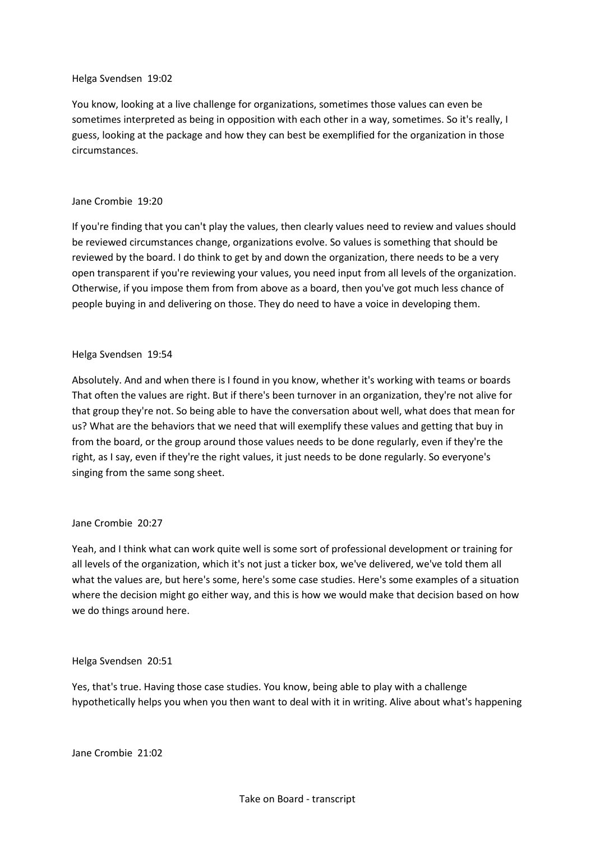#### Helga Svendsen 19:02

You know, looking at a live challenge for organizations, sometimes those values can even be sometimes interpreted as being in opposition with each other in a way, sometimes. So it's really, I guess, looking at the package and how they can best be exemplified for the organization in those circumstances.

#### Jane Crombie 19:20

If you're finding that you can't play the values, then clearly values need to review and values should be reviewed circumstances change, organizations evolve. So values is something that should be reviewed by the board. I do think to get by and down the organization, there needs to be a very open transparent if you're reviewing your values, you need input from all levels of the organization. Otherwise, if you impose them from from above as a board, then you've got much less chance of people buying in and delivering on those. They do need to have a voice in developing them.

#### Helga Svendsen 19:54

Absolutely. And and when there is I found in you know, whether it's working with teams or boards That often the values are right. But if there's been turnover in an organization, they're not alive for that group they're not. So being able to have the conversation about well, what does that mean for us? What are the behaviors that we need that will exemplify these values and getting that buy in from the board, or the group around those values needs to be done regularly, even if they're the right, as I say, even if they're the right values, it just needs to be done regularly. So everyone's singing from the same song sheet.

# Jane Crombie 20:27

Yeah, and I think what can work quite well is some sort of professional development or training for all levels of the organization, which it's not just a ticker box, we've delivered, we've told them all what the values are, but here's some, here's some case studies. Here's some examples of a situation where the decision might go either way, and this is how we would make that decision based on how we do things around here.

# Helga Svendsen 20:51

Yes, that's true. Having those case studies. You know, being able to play with a challenge hypothetically helps you when you then want to deal with it in writing. Alive about what's happening

Jane Crombie 21:02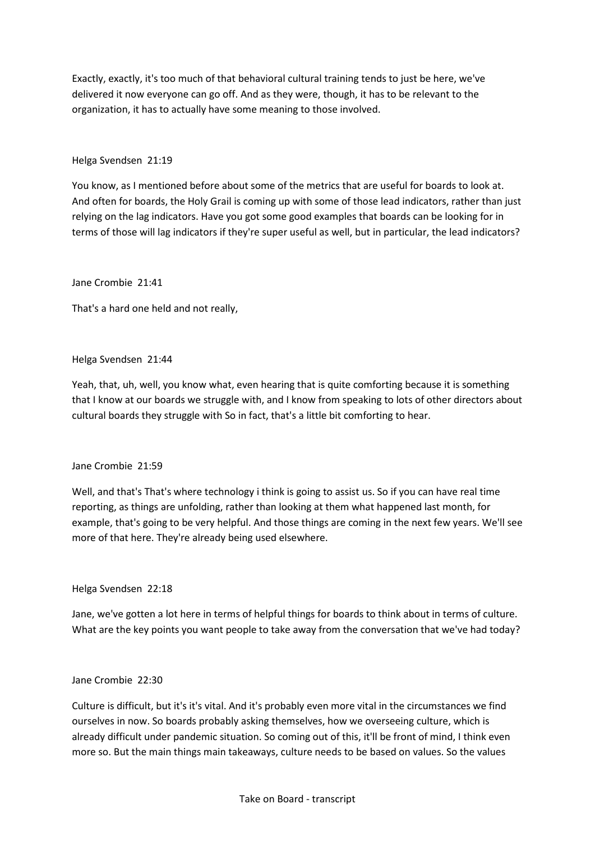Exactly, exactly, it's too much of that behavioral cultural training tends to just be here, we've delivered it now everyone can go off. And as they were, though, it has to be relevant to the organization, it has to actually have some meaning to those involved.

# Helga Svendsen 21:19

You know, as I mentioned before about some of the metrics that are useful for boards to look at. And often for boards, the Holy Grail is coming up with some of those lead indicators, rather than just relying on the lag indicators. Have you got some good examples that boards can be looking for in terms of those will lag indicators if they're super useful as well, but in particular, the lead indicators?

# Jane Crombie 21:41

That's a hard one held and not really,

# Helga Svendsen 21:44

Yeah, that, uh, well, you know what, even hearing that is quite comforting because it is something that I know at our boards we struggle with, and I know from speaking to lots of other directors about cultural boards they struggle with So in fact, that's a little bit comforting to hear.

# Jane Crombie 21:59

Well, and that's That's where technology i think is going to assist us. So if you can have real time reporting, as things are unfolding, rather than looking at them what happened last month, for example, that's going to be very helpful. And those things are coming in the next few years. We'll see more of that here. They're already being used elsewhere.

# Helga Svendsen 22:18

Jane, we've gotten a lot here in terms of helpful things for boards to think about in terms of culture. What are the key points you want people to take away from the conversation that we've had today?

# Jane Crombie 22:30

Culture is difficult, but it's it's vital. And it's probably even more vital in the circumstances we find ourselves in now. So boards probably asking themselves, how we overseeing culture, which is already difficult under pandemic situation. So coming out of this, it'll be front of mind, I think even more so. But the main things main takeaways, culture needs to be based on values. So the values